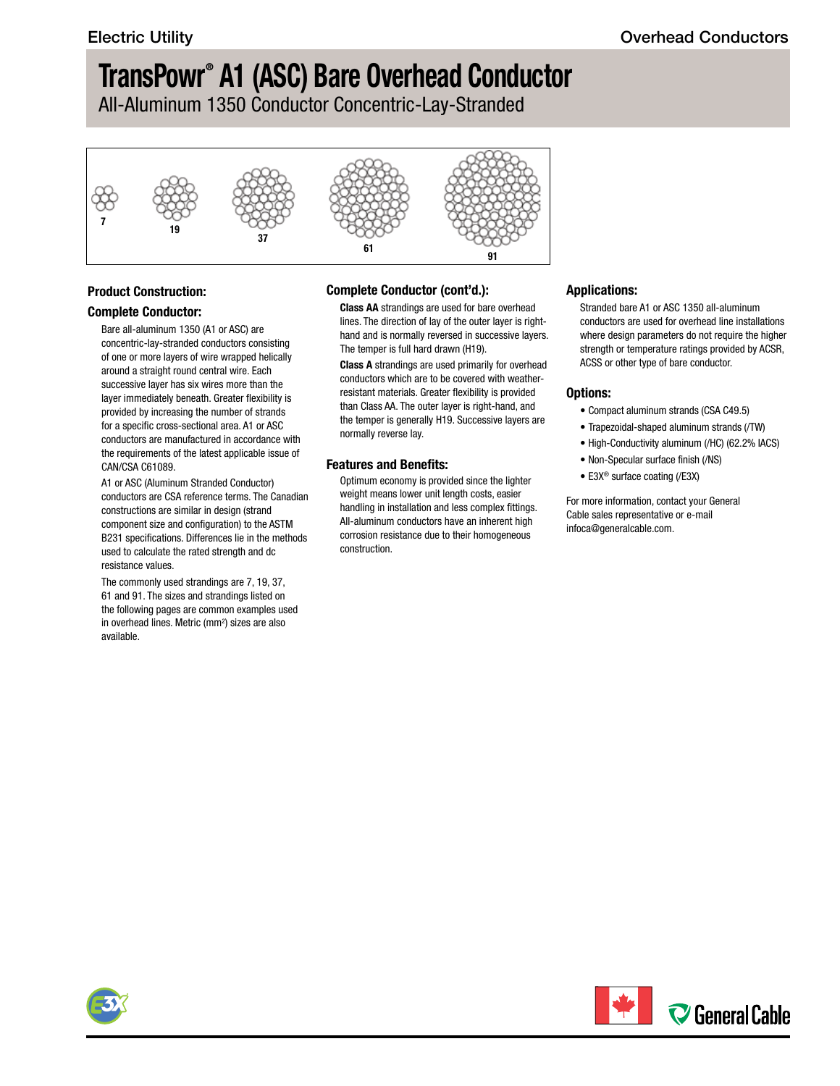All-Aluminum 1350 Conductor Concentric-Lay-Stranded



#### **Product Construction:**

#### **Complete Conductor:**

Bare all-aluminum 1350 (A1 or ASC) are concentric-lay-stranded conductors consisting of one or more layers of wire wrapped helically around a straight round central wire. Each successive layer has six wires more than the layer immediately beneath. Greater flexibility is provided by increasing the number of strands for a specific cross-sectional area. A1 or ASC conductors are manufactured in accordance with the requirements of the latest applicable issue of CAN/CSA C61089.

A1 or ASC (Aluminum Stranded Conductor) conductors are CSA reference terms. The Canadian constructions are similar in design (strand component size and configuration) to the ASTM B231 specifications. Differences lie in the methods used to calculate the rated strength and dc resistance values.

The commonly used strandings are 7, 19, 37, 61 and 91. The sizes and strandings listed on the following pages are common examples used in overhead lines. Metric (mm<sup>2</sup>) sizes are also available.

#### **Complete Conductor (cont'd.):**

**Class AA** strandings are used for bare overhead lines. The direction of lay of the outer layer is righthand and is normally reversed in successive layers. The temper is full hard drawn (H19).

**Class A** strandings are used primarily for overhead conductors which are to be covered with weatherresistant materials. Greater flexibility is provided than Class AA. The outer layer is right-hand, and the temper is generally H19. Successive layers are normally reverse lay.

#### **Features and Benefits:**

Optimum economy is provided since the lighter weight means lower unit length costs, easier handling in installation and less complex fittings. All-aluminum conductors have an inherent high corrosion resistance due to their homogeneous construction.

#### **Applications:**

Stranded bare A1 or ASC 1350 all-aluminum conductors are used for overhead line installations where design parameters do not require the higher strength or temperature ratings provided by ACSR, ACSS or other type of bare conductor.

#### **Options:**

- Compact aluminum strands (CSA C49.5)
- Trapezoidal-shaped aluminum strands (/TW)
- High-Conductivity aluminum (/HC) (62.2% IACS)
- Non-Specular surface finish (/NS)
- E3X® surface coating (/E3X)

For more information, contact your General Cable sales representative or e-mail [infoca@generalcable.com.](mailto:infoca@generalcable.com)



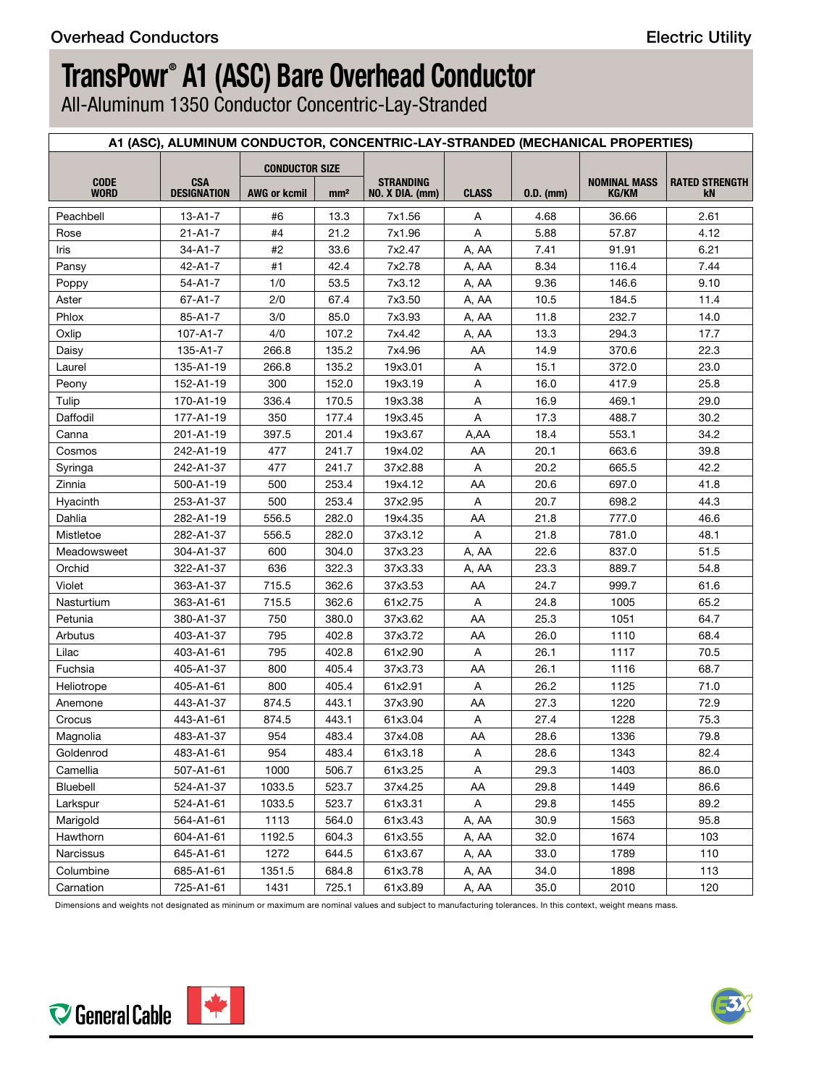All-Aluminum 1350 Conductor Concentric-Lay-Stranded

|                            |                                  |                       |                 |                                     |              |             | A1 (ASC), ALUMINUM CONDUCTOR, CONCENTRIC-LAY-STRANDED (MECHANICAL PROPERTIES) |                                                   |
|----------------------------|----------------------------------|-----------------------|-----------------|-------------------------------------|--------------|-------------|-------------------------------------------------------------------------------|---------------------------------------------------|
|                            |                                  | <b>CONDUCTOR SIZE</b> |                 |                                     |              |             |                                                                               |                                                   |
| <b>CODE</b><br><b>WORD</b> | <b>CSA</b><br><b>DESIGNATION</b> | <b>AWG or kcmil</b>   | mm <sup>2</sup> | <b>STRANDING</b><br>NO. X DIA. (mm) | <b>CLASS</b> | $0.D.$ (mm) | <b>KG/KM</b>                                                                  | <b>NOMINAL MASS   RATED STRENGTH</b><br><b>kN</b> |
| Peachbell                  | 13-A1-7                          | #6                    | 13.3            | 7x1.56                              | A            | 4.68        | 36.66                                                                         | 2.61                                              |
| Rose                       | $21 - A1 - 7$                    | #4                    | 21.2            | 7x1.96                              | $\mathsf{A}$ | 5.88        | 57.87                                                                         | 4.12                                              |
| Iris                       | 34-A1-7                          | #2                    | 33.6            | 7x2.47                              | A, AA        | 7.41        | 91.91                                                                         | 6.21                                              |
| Pansy                      | $42 - A1 - 7$                    | #1                    | 42.4            | 7x2.78                              | A, AA        | 8.34        | 116.4                                                                         | 7.44                                              |
| Poppy                      | 54-A1-7                          | 1/0                   | 53.5            | 7x3.12                              | A, AA        | 9.36        | 146.6                                                                         | 9.10                                              |
| Aster                      | 67-A1-7                          | 2/0                   | 67.4            | 7x3.50                              | A, AA        | 10.5        | 184.5                                                                         | 11.4                                              |
| Phlox                      | 85-A1-7                          | 3/0                   | 85.0            | 7x3.93                              | A, AA        | 11.8        | 232.7                                                                         | 14.0                                              |
| Oxlip                      | 107-A1-7                         | 4/0                   | 107.2           | 7x4.42                              | A, AA        | 13.3        | 294.3                                                                         | 17.7                                              |
| Daisy                      | 135-A1-7                         | 266.8                 | 135.2           | 7x4.96                              | AA           | 14.9        | 370.6                                                                         | 22.3                                              |
| Laurel                     | 135-A1-19                        | 266.8                 | 135.2           | 19x3.01                             | $\mathsf{A}$ | 15.1        | 372.0                                                                         | 23.0                                              |
| Peony                      | 152-A1-19                        | 300                   | 152.0           | 19x3.19                             | A            | 16.0        | 417.9                                                                         | 25.8                                              |
| Tulip                      | 170-A1-19                        | 336.4                 | 170.5           | 19x3.38                             | $\mathsf{A}$ | 16.9        | 469.1                                                                         | 29.0                                              |
| Daffodil                   | 177-A1-19                        | 350                   | 177.4           | 19x3.45                             | $\mathsf{A}$ | 17.3        | 488.7                                                                         | 30.2                                              |
| Canna                      | 201-A1-19                        | 397.5                 | 201.4           | 19x3.67                             | A,AA         | 18.4        | 553.1                                                                         | 34.2                                              |
| Cosmos                     | 242-A1-19                        | 477                   | 241.7           | 19x4.02                             | AA           | 20.1        | 663.6                                                                         | 39.8                                              |
| Syringa                    | 242-A1-37                        | 477                   | 241.7           | 37x2.88                             | $\mathsf{A}$ | 20.2        | 665.5                                                                         | 42.2                                              |
| Zinnia                     | 500-A1-19                        | 500                   | 253.4           | 19x4.12                             | AA           | 20.6        | 697.0                                                                         | 41.8                                              |
| Hyacinth                   | 253-A1-37                        | 500                   | 253.4           | 37x2.95                             | $\mathsf{A}$ | 20.7        | 698.2                                                                         | 44.3                                              |
| Dahlia                     | 282-A1-19                        | 556.5                 | 282.0           | 19x4.35                             | AA           | 21.8        | 777.0                                                                         | 46.6                                              |
| Mistletoe                  | 282-A1-37                        | 556.5                 | 282.0           | 37x3.12                             | A            | 21.8        | 781.0                                                                         | 48.1                                              |
| Meadowsweet                | 304-A1-37                        | 600                   | 304.0           | 37x3.23                             | A, AA        | 22.6        | 837.0                                                                         | 51.5                                              |
| Orchid                     | 322-A1-37                        | 636                   | 322.3           | 37x3.33                             | A, AA        | 23.3        | 889.7                                                                         | 54.8                                              |
| Violet                     | 363-A1-37                        | 715.5                 | 362.6           | 37x3.53                             | AA           | 24.7        | 999.7                                                                         | 61.6                                              |
| Nasturtium                 | 363-A1-61                        | 715.5                 | 362.6           | 61x2.75                             | $\mathsf{A}$ | 24.8        | 1005                                                                          | 65.2                                              |
| Petunia                    | 380-A1-37                        | 750                   | 380.0           | 37x3.62                             | AA           | 25.3        | 1051                                                                          | 64.7                                              |
| Arbutus                    | 403-A1-37                        | 795                   | 402.8           | 37x3.72                             | AA           | 26.0        | 1110                                                                          | 68.4                                              |
| Lilac                      | 403-A1-61                        | 795                   | 402.8           | 61x2.90                             | $\mathsf{A}$ | 26.1        | 1117                                                                          | 70.5                                              |
| Fuchsia                    | 405-A1-37                        | 800                   | 405.4           | 37x3.73                             | AA           | 26.1        | 1116                                                                          | 68.7                                              |
| Heliotrope                 | 405-A1-61                        | 800                   | 405.4           | 61x2.91                             | $\mathsf{A}$ | 26.2        | 1125                                                                          | 71.0                                              |
| Anemone                    | 443-A1-37                        | 874.5                 | 443.1           | 37x3.90                             | AA           | 27.3        | 1220                                                                          | 72.9                                              |
| Crocus                     | 443-A1-61                        | 874.5                 | 443.1           | 61x3.04                             | $\mathsf{A}$ | 27.4        | 1228                                                                          | 75.3                                              |
| Magnolia                   | 483-A1-37                        | 954                   | 483.4           | 37x4.08                             | AA           | 28.6        | 1336                                                                          | 79.8                                              |
| Goldenrod                  | 483-A1-61                        | 954                   | 483.4           | 61x3.18                             | A            | 28.6        | 1343                                                                          | 82.4                                              |
| Camellia                   | 507-A1-61                        | 1000                  | 506.7           | 61x3.25                             | $\mathsf{A}$ | 29.3        | 1403                                                                          | 86.0                                              |
| Bluebell                   | 524-A1-37                        | 1033.5                | 523.7           | 37x4.25                             | AA           | 29.8        | 1449                                                                          | 86.6                                              |
| Larkspur                   | 524-A1-61                        | 1033.5                | 523.7           | 61x3.31                             | $\mathsf{A}$ | 29.8        | 1455                                                                          | 89.2                                              |
| Marigold                   | 564-A1-61                        | 1113                  | 564.0           | 61x3.43                             | A, AA        | 30.9        | 1563                                                                          | 95.8                                              |
| Hawthorn                   | 604-A1-61                        | 1192.5                | 604.3           | 61x3.55                             | A, AA        | 32.0        | 1674                                                                          | 103                                               |
| Narcissus                  | 645-A1-61                        | 1272                  | 644.5           | 61x3.67                             | A, AA        | 33.0        | 1789                                                                          | 110                                               |
| Columbine                  | 685-A1-61                        | 1351.5                | 684.8           | 61x3.78                             | A, AA        | 34.0        | 1898                                                                          | 113                                               |
|                            |                                  | 1431                  |                 |                                     | A, AA        |             |                                                                               | 120                                               |
| Carnation                  | 725-A1-61                        |                       | 725.1           | 61x3.89                             |              | 35.0        | 2010                                                                          |                                                   |

Dimensions and weights not designated as mininum or maximum are nominal values and subject to manufacturing tolerances. In this context, weight means mass.



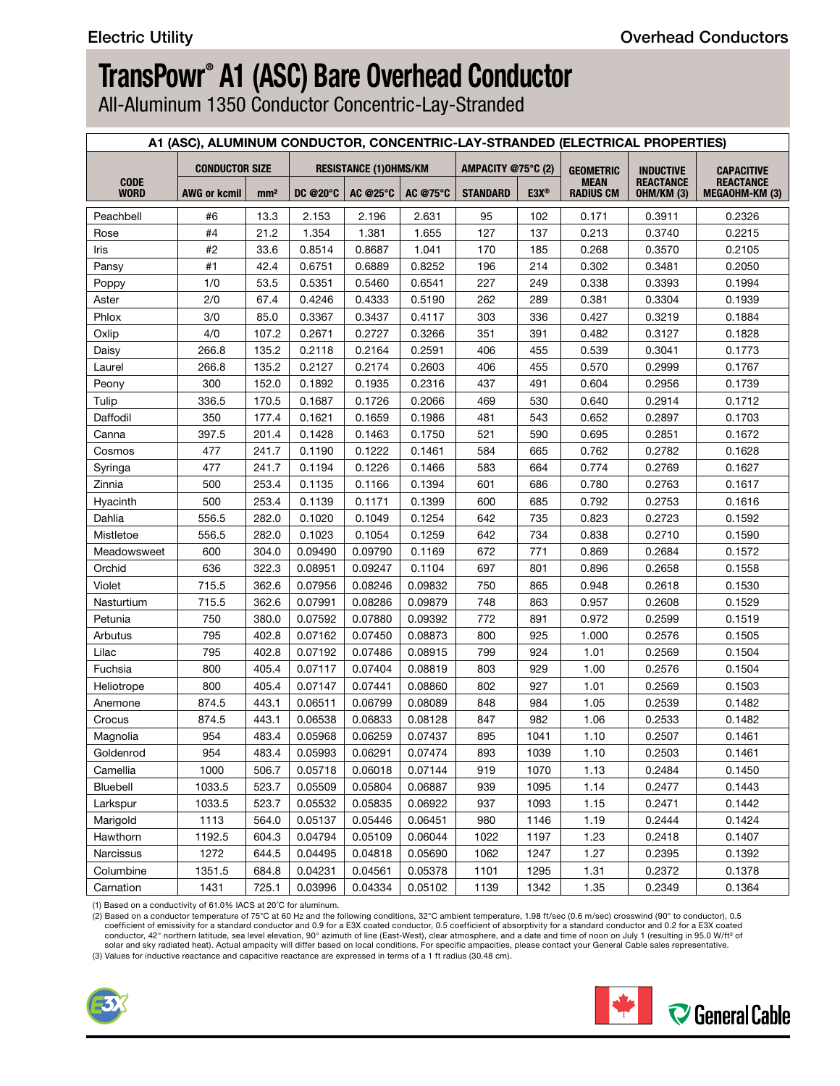All-Aluminum 1350 Conductor Concentric-Lay-Stranded

| <b>CONDUCTOR SIZE</b><br><b>RESISTANCE (1)OHMS/KM</b><br>AMPACITY @75°C (2)<br><b>GEOMETRIC</b><br><b>CAPACITIVE</b><br><b>INDUCTIVE</b><br><b>MEAN</b><br><b>REACTANCE</b><br><b>REACTANCE</b><br><b>RADIUS CM</b><br><b>OHM/KM (3)</b><br>DC @20°C   AC @25°C   AC @75°C   STANDARD<br>$E3X^{\circledcirc}$<br>MEGAOHM-KM (3)<br>mm <sup>2</sup><br>13.3<br>2.153<br>2.196<br>2.631<br>95<br>102<br>0.171<br>0.3911<br>0.2326<br>21.2<br>1.381<br>1.655<br>127<br>137<br>0.3740<br>0.2215<br>1.354<br>0.213<br>33.6<br>0.8687<br>185<br>0.8514<br>1.041<br>170<br>0.268<br>0.3570<br>0.2105<br>0.6889<br>0.8252<br>214<br>42.4<br>0.6751<br>196<br>0.302<br>0.3481<br>0.2050<br>53.5<br>0.5351<br>0.5460<br>0.6541<br>249<br>0.338<br>0.3393<br>0.1994<br>227<br>67.4<br>289<br>0.4246<br>0.4333<br>0.5190<br>262<br>0.381<br>0.3304<br>0.1939<br>85.0<br>0.3367<br>0.3437<br>303<br>336<br>0.4117<br>0.427<br>0.3219<br>0.1884<br>107.2<br>0.2671<br>0.2727<br>0.3266<br>391<br>0.1828<br>351<br>0.482<br>0.3127<br>135.2<br>0.2118<br>0.2164<br>0.2591<br>455<br>0.539<br>0.1773<br>406<br>0.3041<br>135.2<br>0.2127<br>0.2174<br>0.2603<br>455<br>0.570<br>0.2999<br>0.1767<br>406<br>152.0<br>0.1892<br>0.1935<br>0.2316<br>0.604<br>0.2956<br>0.1739<br>437<br>491<br>170.5<br>0.1687<br>0.1726<br>0.2066<br>530<br>0.1712<br>469<br>0.640<br>0.2914<br>177.4<br>543<br>0.1703<br>0.1621<br>0.1659<br>0.1986<br>481<br>0.652<br>0.2897<br>201.4<br>0.1750<br>590<br>0.1672<br>0.1428<br>0.1463<br>521<br>0.695<br>0.2851<br>241.7<br>0.1190<br>0.1222<br>584<br>665<br>0.762<br>0.2782<br>0.1628<br>0.1461<br>241.7<br>0.1226<br>0.1466<br>583<br>664<br>0.774<br>0.2769<br>0.1627<br>0.1194<br>253.4<br>0.1394<br>0.1135<br>0.1166<br>601<br>686<br>0.780<br>0.2763<br>0.1617<br>685<br>0.2753<br>253.4<br>0.1139<br>0.1171<br>0.1399<br>600<br>0.792<br>0.1616<br>282.0<br>0.1020<br>0.1049<br>0.1254<br>642<br>735<br>0.823<br>0.2723<br>0.1592<br>282.0<br>0.1259<br>642<br>734<br>0.2710<br>0.1023<br>0.1054<br>0.838<br>0.1590<br>304.0<br>0.09490<br>0.09790<br>0.1169<br>672<br>771<br>0.2684<br>0.869<br>0.1572<br>322.3<br>0.08951<br>0.09247<br>0.1104<br>697<br>801<br>0.896<br>0.2658<br>0.1558<br>0.07956<br>0.08246<br>0.09832<br>750<br>865<br>362.6<br>0.948<br>0.2618<br>0.1530<br>0.07991<br>0.08286<br>0.09879<br>0.2608<br>362.6<br>748<br>863<br>0.957<br>0.1529<br>380.0<br>0.07592<br>0.07880<br>0.09392<br>772<br>891<br>0.972<br>0.2599<br>0.1519<br>402.8<br>0.07162<br>0.07450<br>0.08873<br>925<br>1.000<br>0.2576<br>0.1505<br>800<br>0.07192<br>0.07486<br>0.08915<br>924<br>0.2569<br>402.8<br>799<br>1.01<br>0.1504<br>0.07117<br>0.07404<br>0.08819<br>929<br>0.2576<br>405.4<br>803<br>1.00<br>0.1504<br>0.07147<br>0.07441<br>0.08860<br>927<br>0.2569<br>405.4<br>802<br>0.1503<br>1.01<br>0.06799<br>0.08089<br>0.2539<br>443.1<br>0.06511<br>984<br>1.05<br>0.1482<br>848<br>0.06538<br>0.06833<br>0.08128<br>982<br>0.2533<br>0.1482<br>443.1<br>847<br>1.06<br>0.05968<br>0.06259<br>0.07437<br>895<br>1041<br>0.2507<br>0.1461<br>483.4<br>1.10<br>483.4<br>0.05993<br>0.06291<br>0.07474<br>893<br>1039<br>1.10<br>0.2503<br>0.1461 |
|---------------------------------------------------------------------------------------------------------------------------------------------------------------------------------------------------------------------------------------------------------------------------------------------------------------------------------------------------------------------------------------------------------------------------------------------------------------------------------------------------------------------------------------------------------------------------------------------------------------------------------------------------------------------------------------------------------------------------------------------------------------------------------------------------------------------------------------------------------------------------------------------------------------------------------------------------------------------------------------------------------------------------------------------------------------------------------------------------------------------------------------------------------------------------------------------------------------------------------------------------------------------------------------------------------------------------------------------------------------------------------------------------------------------------------------------------------------------------------------------------------------------------------------------------------------------------------------------------------------------------------------------------------------------------------------------------------------------------------------------------------------------------------------------------------------------------------------------------------------------------------------------------------------------------------------------------------------------------------------------------------------------------------------------------------------------------------------------------------------------------------------------------------------------------------------------------------------------------------------------------------------------------------------------------------------------------------------------------------------------------------------------------------------------------------------------------------------------------------------------------------------------------------------------------------------------------------------------------------------------------------------------------------------------------------------------------------------------------------------------------------------------------------------------------------------------------------------------------------------------------------------------------------------------------------------------------------------------------------------------------------------------------------------------------------------------------------------------------------------------------------------------------------------------------------------|
|                                                                                                                                                                                                                                                                                                                                                                                                                                                                                                                                                                                                                                                                                                                                                                                                                                                                                                                                                                                                                                                                                                                                                                                                                                                                                                                                                                                                                                                                                                                                                                                                                                                                                                                                                                                                                                                                                                                                                                                                                                                                                                                                                                                                                                                                                                                                                                                                                                                                                                                                                                                                                                                                                                                                                                                                                                                                                                                                                                                                                                                                                                                                                                                       |
|                                                                                                                                                                                                                                                                                                                                                                                                                                                                                                                                                                                                                                                                                                                                                                                                                                                                                                                                                                                                                                                                                                                                                                                                                                                                                                                                                                                                                                                                                                                                                                                                                                                                                                                                                                                                                                                                                                                                                                                                                                                                                                                                                                                                                                                                                                                                                                                                                                                                                                                                                                                                                                                                                                                                                                                                                                                                                                                                                                                                                                                                                                                                                                                       |
|                                                                                                                                                                                                                                                                                                                                                                                                                                                                                                                                                                                                                                                                                                                                                                                                                                                                                                                                                                                                                                                                                                                                                                                                                                                                                                                                                                                                                                                                                                                                                                                                                                                                                                                                                                                                                                                                                                                                                                                                                                                                                                                                                                                                                                                                                                                                                                                                                                                                                                                                                                                                                                                                                                                                                                                                                                                                                                                                                                                                                                                                                                                                                                                       |
|                                                                                                                                                                                                                                                                                                                                                                                                                                                                                                                                                                                                                                                                                                                                                                                                                                                                                                                                                                                                                                                                                                                                                                                                                                                                                                                                                                                                                                                                                                                                                                                                                                                                                                                                                                                                                                                                                                                                                                                                                                                                                                                                                                                                                                                                                                                                                                                                                                                                                                                                                                                                                                                                                                                                                                                                                                                                                                                                                                                                                                                                                                                                                                                       |
|                                                                                                                                                                                                                                                                                                                                                                                                                                                                                                                                                                                                                                                                                                                                                                                                                                                                                                                                                                                                                                                                                                                                                                                                                                                                                                                                                                                                                                                                                                                                                                                                                                                                                                                                                                                                                                                                                                                                                                                                                                                                                                                                                                                                                                                                                                                                                                                                                                                                                                                                                                                                                                                                                                                                                                                                                                                                                                                                                                                                                                                                                                                                                                                       |
|                                                                                                                                                                                                                                                                                                                                                                                                                                                                                                                                                                                                                                                                                                                                                                                                                                                                                                                                                                                                                                                                                                                                                                                                                                                                                                                                                                                                                                                                                                                                                                                                                                                                                                                                                                                                                                                                                                                                                                                                                                                                                                                                                                                                                                                                                                                                                                                                                                                                                                                                                                                                                                                                                                                                                                                                                                                                                                                                                                                                                                                                                                                                                                                       |
|                                                                                                                                                                                                                                                                                                                                                                                                                                                                                                                                                                                                                                                                                                                                                                                                                                                                                                                                                                                                                                                                                                                                                                                                                                                                                                                                                                                                                                                                                                                                                                                                                                                                                                                                                                                                                                                                                                                                                                                                                                                                                                                                                                                                                                                                                                                                                                                                                                                                                                                                                                                                                                                                                                                                                                                                                                                                                                                                                                                                                                                                                                                                                                                       |
|                                                                                                                                                                                                                                                                                                                                                                                                                                                                                                                                                                                                                                                                                                                                                                                                                                                                                                                                                                                                                                                                                                                                                                                                                                                                                                                                                                                                                                                                                                                                                                                                                                                                                                                                                                                                                                                                                                                                                                                                                                                                                                                                                                                                                                                                                                                                                                                                                                                                                                                                                                                                                                                                                                                                                                                                                                                                                                                                                                                                                                                                                                                                                                                       |
|                                                                                                                                                                                                                                                                                                                                                                                                                                                                                                                                                                                                                                                                                                                                                                                                                                                                                                                                                                                                                                                                                                                                                                                                                                                                                                                                                                                                                                                                                                                                                                                                                                                                                                                                                                                                                                                                                                                                                                                                                                                                                                                                                                                                                                                                                                                                                                                                                                                                                                                                                                                                                                                                                                                                                                                                                                                                                                                                                                                                                                                                                                                                                                                       |
|                                                                                                                                                                                                                                                                                                                                                                                                                                                                                                                                                                                                                                                                                                                                                                                                                                                                                                                                                                                                                                                                                                                                                                                                                                                                                                                                                                                                                                                                                                                                                                                                                                                                                                                                                                                                                                                                                                                                                                                                                                                                                                                                                                                                                                                                                                                                                                                                                                                                                                                                                                                                                                                                                                                                                                                                                                                                                                                                                                                                                                                                                                                                                                                       |
|                                                                                                                                                                                                                                                                                                                                                                                                                                                                                                                                                                                                                                                                                                                                                                                                                                                                                                                                                                                                                                                                                                                                                                                                                                                                                                                                                                                                                                                                                                                                                                                                                                                                                                                                                                                                                                                                                                                                                                                                                                                                                                                                                                                                                                                                                                                                                                                                                                                                                                                                                                                                                                                                                                                                                                                                                                                                                                                                                                                                                                                                                                                                                                                       |
|                                                                                                                                                                                                                                                                                                                                                                                                                                                                                                                                                                                                                                                                                                                                                                                                                                                                                                                                                                                                                                                                                                                                                                                                                                                                                                                                                                                                                                                                                                                                                                                                                                                                                                                                                                                                                                                                                                                                                                                                                                                                                                                                                                                                                                                                                                                                                                                                                                                                                                                                                                                                                                                                                                                                                                                                                                                                                                                                                                                                                                                                                                                                                                                       |
|                                                                                                                                                                                                                                                                                                                                                                                                                                                                                                                                                                                                                                                                                                                                                                                                                                                                                                                                                                                                                                                                                                                                                                                                                                                                                                                                                                                                                                                                                                                                                                                                                                                                                                                                                                                                                                                                                                                                                                                                                                                                                                                                                                                                                                                                                                                                                                                                                                                                                                                                                                                                                                                                                                                                                                                                                                                                                                                                                                                                                                                                                                                                                                                       |
|                                                                                                                                                                                                                                                                                                                                                                                                                                                                                                                                                                                                                                                                                                                                                                                                                                                                                                                                                                                                                                                                                                                                                                                                                                                                                                                                                                                                                                                                                                                                                                                                                                                                                                                                                                                                                                                                                                                                                                                                                                                                                                                                                                                                                                                                                                                                                                                                                                                                                                                                                                                                                                                                                                                                                                                                                                                                                                                                                                                                                                                                                                                                                                                       |
|                                                                                                                                                                                                                                                                                                                                                                                                                                                                                                                                                                                                                                                                                                                                                                                                                                                                                                                                                                                                                                                                                                                                                                                                                                                                                                                                                                                                                                                                                                                                                                                                                                                                                                                                                                                                                                                                                                                                                                                                                                                                                                                                                                                                                                                                                                                                                                                                                                                                                                                                                                                                                                                                                                                                                                                                                                                                                                                                                                                                                                                                                                                                                                                       |
|                                                                                                                                                                                                                                                                                                                                                                                                                                                                                                                                                                                                                                                                                                                                                                                                                                                                                                                                                                                                                                                                                                                                                                                                                                                                                                                                                                                                                                                                                                                                                                                                                                                                                                                                                                                                                                                                                                                                                                                                                                                                                                                                                                                                                                                                                                                                                                                                                                                                                                                                                                                                                                                                                                                                                                                                                                                                                                                                                                                                                                                                                                                                                                                       |
|                                                                                                                                                                                                                                                                                                                                                                                                                                                                                                                                                                                                                                                                                                                                                                                                                                                                                                                                                                                                                                                                                                                                                                                                                                                                                                                                                                                                                                                                                                                                                                                                                                                                                                                                                                                                                                                                                                                                                                                                                                                                                                                                                                                                                                                                                                                                                                                                                                                                                                                                                                                                                                                                                                                                                                                                                                                                                                                                                                                                                                                                                                                                                                                       |
|                                                                                                                                                                                                                                                                                                                                                                                                                                                                                                                                                                                                                                                                                                                                                                                                                                                                                                                                                                                                                                                                                                                                                                                                                                                                                                                                                                                                                                                                                                                                                                                                                                                                                                                                                                                                                                                                                                                                                                                                                                                                                                                                                                                                                                                                                                                                                                                                                                                                                                                                                                                                                                                                                                                                                                                                                                                                                                                                                                                                                                                                                                                                                                                       |
|                                                                                                                                                                                                                                                                                                                                                                                                                                                                                                                                                                                                                                                                                                                                                                                                                                                                                                                                                                                                                                                                                                                                                                                                                                                                                                                                                                                                                                                                                                                                                                                                                                                                                                                                                                                                                                                                                                                                                                                                                                                                                                                                                                                                                                                                                                                                                                                                                                                                                                                                                                                                                                                                                                                                                                                                                                                                                                                                                                                                                                                                                                                                                                                       |
|                                                                                                                                                                                                                                                                                                                                                                                                                                                                                                                                                                                                                                                                                                                                                                                                                                                                                                                                                                                                                                                                                                                                                                                                                                                                                                                                                                                                                                                                                                                                                                                                                                                                                                                                                                                                                                                                                                                                                                                                                                                                                                                                                                                                                                                                                                                                                                                                                                                                                                                                                                                                                                                                                                                                                                                                                                                                                                                                                                                                                                                                                                                                                                                       |
|                                                                                                                                                                                                                                                                                                                                                                                                                                                                                                                                                                                                                                                                                                                                                                                                                                                                                                                                                                                                                                                                                                                                                                                                                                                                                                                                                                                                                                                                                                                                                                                                                                                                                                                                                                                                                                                                                                                                                                                                                                                                                                                                                                                                                                                                                                                                                                                                                                                                                                                                                                                                                                                                                                                                                                                                                                                                                                                                                                                                                                                                                                                                                                                       |
|                                                                                                                                                                                                                                                                                                                                                                                                                                                                                                                                                                                                                                                                                                                                                                                                                                                                                                                                                                                                                                                                                                                                                                                                                                                                                                                                                                                                                                                                                                                                                                                                                                                                                                                                                                                                                                                                                                                                                                                                                                                                                                                                                                                                                                                                                                                                                                                                                                                                                                                                                                                                                                                                                                                                                                                                                                                                                                                                                                                                                                                                                                                                                                                       |
|                                                                                                                                                                                                                                                                                                                                                                                                                                                                                                                                                                                                                                                                                                                                                                                                                                                                                                                                                                                                                                                                                                                                                                                                                                                                                                                                                                                                                                                                                                                                                                                                                                                                                                                                                                                                                                                                                                                                                                                                                                                                                                                                                                                                                                                                                                                                                                                                                                                                                                                                                                                                                                                                                                                                                                                                                                                                                                                                                                                                                                                                                                                                                                                       |
|                                                                                                                                                                                                                                                                                                                                                                                                                                                                                                                                                                                                                                                                                                                                                                                                                                                                                                                                                                                                                                                                                                                                                                                                                                                                                                                                                                                                                                                                                                                                                                                                                                                                                                                                                                                                                                                                                                                                                                                                                                                                                                                                                                                                                                                                                                                                                                                                                                                                                                                                                                                                                                                                                                                                                                                                                                                                                                                                                                                                                                                                                                                                                                                       |
|                                                                                                                                                                                                                                                                                                                                                                                                                                                                                                                                                                                                                                                                                                                                                                                                                                                                                                                                                                                                                                                                                                                                                                                                                                                                                                                                                                                                                                                                                                                                                                                                                                                                                                                                                                                                                                                                                                                                                                                                                                                                                                                                                                                                                                                                                                                                                                                                                                                                                                                                                                                                                                                                                                                                                                                                                                                                                                                                                                                                                                                                                                                                                                                       |
|                                                                                                                                                                                                                                                                                                                                                                                                                                                                                                                                                                                                                                                                                                                                                                                                                                                                                                                                                                                                                                                                                                                                                                                                                                                                                                                                                                                                                                                                                                                                                                                                                                                                                                                                                                                                                                                                                                                                                                                                                                                                                                                                                                                                                                                                                                                                                                                                                                                                                                                                                                                                                                                                                                                                                                                                                                                                                                                                                                                                                                                                                                                                                                                       |
|                                                                                                                                                                                                                                                                                                                                                                                                                                                                                                                                                                                                                                                                                                                                                                                                                                                                                                                                                                                                                                                                                                                                                                                                                                                                                                                                                                                                                                                                                                                                                                                                                                                                                                                                                                                                                                                                                                                                                                                                                                                                                                                                                                                                                                                                                                                                                                                                                                                                                                                                                                                                                                                                                                                                                                                                                                                                                                                                                                                                                                                                                                                                                                                       |
|                                                                                                                                                                                                                                                                                                                                                                                                                                                                                                                                                                                                                                                                                                                                                                                                                                                                                                                                                                                                                                                                                                                                                                                                                                                                                                                                                                                                                                                                                                                                                                                                                                                                                                                                                                                                                                                                                                                                                                                                                                                                                                                                                                                                                                                                                                                                                                                                                                                                                                                                                                                                                                                                                                                                                                                                                                                                                                                                                                                                                                                                                                                                                                                       |
|                                                                                                                                                                                                                                                                                                                                                                                                                                                                                                                                                                                                                                                                                                                                                                                                                                                                                                                                                                                                                                                                                                                                                                                                                                                                                                                                                                                                                                                                                                                                                                                                                                                                                                                                                                                                                                                                                                                                                                                                                                                                                                                                                                                                                                                                                                                                                                                                                                                                                                                                                                                                                                                                                                                                                                                                                                                                                                                                                                                                                                                                                                                                                                                       |
|                                                                                                                                                                                                                                                                                                                                                                                                                                                                                                                                                                                                                                                                                                                                                                                                                                                                                                                                                                                                                                                                                                                                                                                                                                                                                                                                                                                                                                                                                                                                                                                                                                                                                                                                                                                                                                                                                                                                                                                                                                                                                                                                                                                                                                                                                                                                                                                                                                                                                                                                                                                                                                                                                                                                                                                                                                                                                                                                                                                                                                                                                                                                                                                       |
|                                                                                                                                                                                                                                                                                                                                                                                                                                                                                                                                                                                                                                                                                                                                                                                                                                                                                                                                                                                                                                                                                                                                                                                                                                                                                                                                                                                                                                                                                                                                                                                                                                                                                                                                                                                                                                                                                                                                                                                                                                                                                                                                                                                                                                                                                                                                                                                                                                                                                                                                                                                                                                                                                                                                                                                                                                                                                                                                                                                                                                                                                                                                                                                       |
|                                                                                                                                                                                                                                                                                                                                                                                                                                                                                                                                                                                                                                                                                                                                                                                                                                                                                                                                                                                                                                                                                                                                                                                                                                                                                                                                                                                                                                                                                                                                                                                                                                                                                                                                                                                                                                                                                                                                                                                                                                                                                                                                                                                                                                                                                                                                                                                                                                                                                                                                                                                                                                                                                                                                                                                                                                                                                                                                                                                                                                                                                                                                                                                       |
|                                                                                                                                                                                                                                                                                                                                                                                                                                                                                                                                                                                                                                                                                                                                                                                                                                                                                                                                                                                                                                                                                                                                                                                                                                                                                                                                                                                                                                                                                                                                                                                                                                                                                                                                                                                                                                                                                                                                                                                                                                                                                                                                                                                                                                                                                                                                                                                                                                                                                                                                                                                                                                                                                                                                                                                                                                                                                                                                                                                                                                                                                                                                                                                       |
|                                                                                                                                                                                                                                                                                                                                                                                                                                                                                                                                                                                                                                                                                                                                                                                                                                                                                                                                                                                                                                                                                                                                                                                                                                                                                                                                                                                                                                                                                                                                                                                                                                                                                                                                                                                                                                                                                                                                                                                                                                                                                                                                                                                                                                                                                                                                                                                                                                                                                                                                                                                                                                                                                                                                                                                                                                                                                                                                                                                                                                                                                                                                                                                       |
|                                                                                                                                                                                                                                                                                                                                                                                                                                                                                                                                                                                                                                                                                                                                                                                                                                                                                                                                                                                                                                                                                                                                                                                                                                                                                                                                                                                                                                                                                                                                                                                                                                                                                                                                                                                                                                                                                                                                                                                                                                                                                                                                                                                                                                                                                                                                                                                                                                                                                                                                                                                                                                                                                                                                                                                                                                                                                                                                                                                                                                                                                                                                                                                       |
| 506.7<br>0.05718<br>0.06018<br>0.07144<br>919<br>1070<br>1.13<br>0.2484<br>0.1450                                                                                                                                                                                                                                                                                                                                                                                                                                                                                                                                                                                                                                                                                                                                                                                                                                                                                                                                                                                                                                                                                                                                                                                                                                                                                                                                                                                                                                                                                                                                                                                                                                                                                                                                                                                                                                                                                                                                                                                                                                                                                                                                                                                                                                                                                                                                                                                                                                                                                                                                                                                                                                                                                                                                                                                                                                                                                                                                                                                                                                                                                                     |
| 523.7<br>0.05509<br>0.05804<br>0.06887<br>939<br>1095<br>0.2477<br>0.1443<br>1.14                                                                                                                                                                                                                                                                                                                                                                                                                                                                                                                                                                                                                                                                                                                                                                                                                                                                                                                                                                                                                                                                                                                                                                                                                                                                                                                                                                                                                                                                                                                                                                                                                                                                                                                                                                                                                                                                                                                                                                                                                                                                                                                                                                                                                                                                                                                                                                                                                                                                                                                                                                                                                                                                                                                                                                                                                                                                                                                                                                                                                                                                                                     |
| 0.05532<br>0.05835<br>523.7<br>0.06922<br>1093<br>937<br>0.2471<br>0.1442<br>1.15                                                                                                                                                                                                                                                                                                                                                                                                                                                                                                                                                                                                                                                                                                                                                                                                                                                                                                                                                                                                                                                                                                                                                                                                                                                                                                                                                                                                                                                                                                                                                                                                                                                                                                                                                                                                                                                                                                                                                                                                                                                                                                                                                                                                                                                                                                                                                                                                                                                                                                                                                                                                                                                                                                                                                                                                                                                                                                                                                                                                                                                                                                     |
| 564.0<br>0.05137<br>0.05446<br>0.06451<br>980<br>1146<br>0.2444<br>0.1424<br>1.19                                                                                                                                                                                                                                                                                                                                                                                                                                                                                                                                                                                                                                                                                                                                                                                                                                                                                                                                                                                                                                                                                                                                                                                                                                                                                                                                                                                                                                                                                                                                                                                                                                                                                                                                                                                                                                                                                                                                                                                                                                                                                                                                                                                                                                                                                                                                                                                                                                                                                                                                                                                                                                                                                                                                                                                                                                                                                                                                                                                                                                                                                                     |
| 604.3<br>0.04794<br>0.05109<br>0.06044<br>1022<br>1197<br>1.23<br>0.2418<br>0.1407                                                                                                                                                                                                                                                                                                                                                                                                                                                                                                                                                                                                                                                                                                                                                                                                                                                                                                                                                                                                                                                                                                                                                                                                                                                                                                                                                                                                                                                                                                                                                                                                                                                                                                                                                                                                                                                                                                                                                                                                                                                                                                                                                                                                                                                                                                                                                                                                                                                                                                                                                                                                                                                                                                                                                                                                                                                                                                                                                                                                                                                                                                    |
|                                                                                                                                                                                                                                                                                                                                                                                                                                                                                                                                                                                                                                                                                                                                                                                                                                                                                                                                                                                                                                                                                                                                                                                                                                                                                                                                                                                                                                                                                                                                                                                                                                                                                                                                                                                                                                                                                                                                                                                                                                                                                                                                                                                                                                                                                                                                                                                                                                                                                                                                                                                                                                                                                                                                                                                                                                                                                                                                                                                                                                                                                                                                                                                       |
| 0.1392                                                                                                                                                                                                                                                                                                                                                                                                                                                                                                                                                                                                                                                                                                                                                                                                                                                                                                                                                                                                                                                                                                                                                                                                                                                                                                                                                                                                                                                                                                                                                                                                                                                                                                                                                                                                                                                                                                                                                                                                                                                                                                                                                                                                                                                                                                                                                                                                                                                                                                                                                                                                                                                                                                                                                                                                                                                                                                                                                                                                                                                                                                                                                                                |
| 644.5<br>0.04495<br>0.04818<br>0.05690<br>1247<br>0.2395<br>1062<br>1.27<br>684.8<br>0.04231<br>0.04561<br>0.05378<br>1295<br>0.2372<br>1101<br>1.31<br>0.1378                                                                                                                                                                                                                                                                                                                                                                                                                                                                                                                                                                                                                                                                                                                                                                                                                                                                                                                                                                                                                                                                                                                                                                                                                                                                                                                                                                                                                                                                                                                                                                                                                                                                                                                                                                                                                                                                                                                                                                                                                                                                                                                                                                                                                                                                                                                                                                                                                                                                                                                                                                                                                                                                                                                                                                                                                                                                                                                                                                                                                        |

(1) Based on a conductivity of 61.0% IACS at 20℃ for aluminum.

2) Based on a conductor temperature of 75°C at 60 Hz and the following conditions, 32°C ambient temperature, 1.98 ft/sec (0.6 m/sec) crosswind (90° to conductor), 0.5)<br>coefficient of emissivity for a standard conductor and solar and sky radiated heat). Actual ampacity will differ based on local conditions. For specific ampacities, please contact your General Cable sales representative. (3) Values for inductive reactance and capacitive reactance are expressed in terms of a 1 ft radius (30.48 cm).



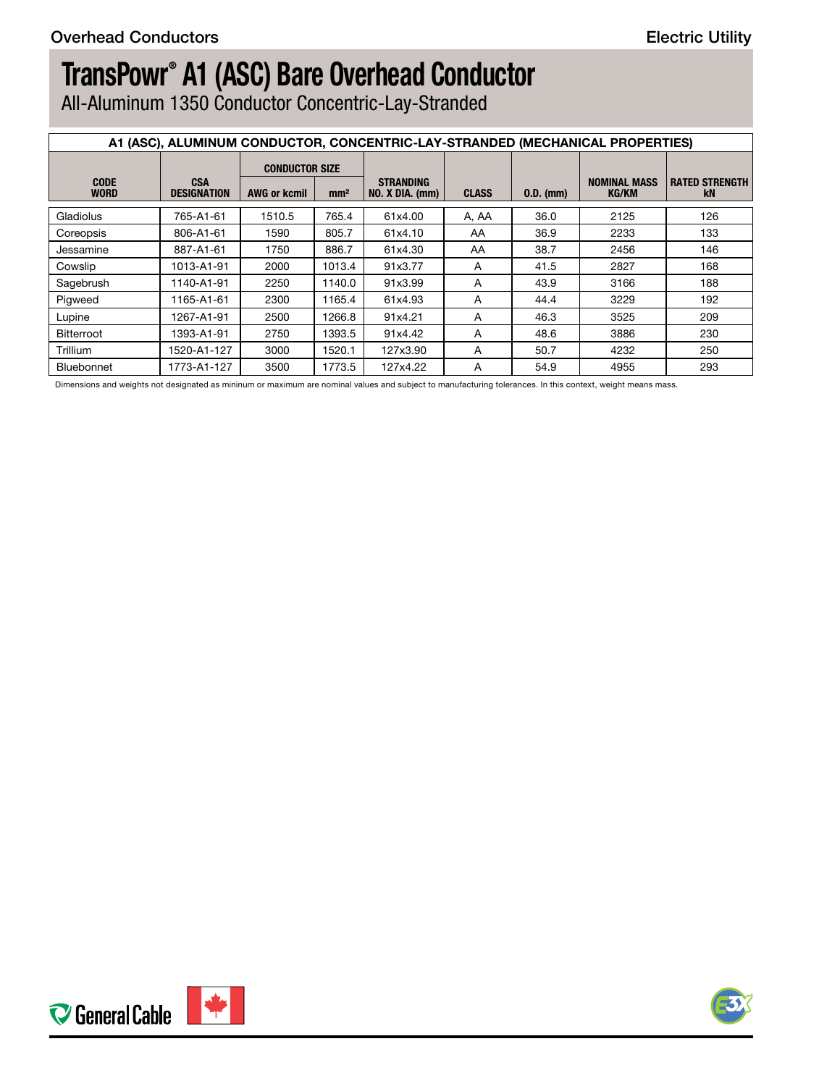All-Aluminum 1350 Conductor Concentric-Lay-Stranded

| A1 (ASC), ALUMINUM CONDUCTOR, CONCENTRIC-LAY-STRANDED (MECHANICAL PROPERTIES) |                                  |                       |                 |                                            |              |             |                                     |                                    |  |
|-------------------------------------------------------------------------------|----------------------------------|-----------------------|-----------------|--------------------------------------------|--------------|-------------|-------------------------------------|------------------------------------|--|
|                                                                               |                                  | <b>CONDUCTOR SIZE</b> |                 |                                            |              |             |                                     |                                    |  |
| <b>CODE</b><br>WORD                                                           | <b>CSA</b><br><b>DESIGNATION</b> | AWG or kcmil          | mm <sup>2</sup> | <b>STRANDING</b><br><b>NO. X DIA. (mm)</b> | <b>CLASS</b> | $0.D.$ (mm) | <b>NOMINAL MASS</b><br><b>KG/KM</b> | <b>RATED STRENGTH</b><br><b>kN</b> |  |
| Gladiolus                                                                     | 765-A1-61                        | 1510.5                | 765.4           | 61x4.00                                    | A, AA        | 36.0        | 2125                                | 126                                |  |
| Coreopsis                                                                     | 806-A1-61                        | 1590                  | 805.7           | 61x4.10                                    | AA           | 36.9        | 2233                                | 133                                |  |
| Jessamine                                                                     | 887-A1-61                        | 1750                  | 886.7           | 61x4.30                                    | AA           | 38.7        | 2456                                | 146                                |  |
| Cowslip                                                                       | 1013-A1-91                       | 2000                  | 1013.4          | 91x3.77                                    |              | 41.5        | 2827                                | 168                                |  |
| Sagebrush                                                                     | 1140-A1-91                       | 2250                  | 1140.0          | 91x3.99                                    |              | 43.9        | 3166                                | 188                                |  |
| Pigweed                                                                       | 1165-A1-61                       | 2300                  | 1165.4          | 61x4.93                                    |              | 44.4        | 3229                                | 192                                |  |
| Lupine                                                                        | 1267-A1-91                       | 2500                  | 1266.8          | 91x4.21                                    |              | 46.3        | 3525                                | 209                                |  |
| Bitterroot                                                                    | 1393-A1-91                       | 2750                  | 1393.5          | 91x4.42                                    |              | 48.6        | 3886                                | 230                                |  |
| Trillium                                                                      | 1520-A1-127                      | 3000                  | 1520.1          | 127x3.90                                   |              | 50.7        | 4232                                | 250                                |  |
| Bluebonnet                                                                    | 1773-A1-127                      | 3500                  | 1773.5          | 127x4.22                                   |              | 54.9        | 4955                                | 293                                |  |

Dimensions and weights not designated as mininum or maximum are nominal values and subject to manufacturing tolerances. In this context, weight means mass.